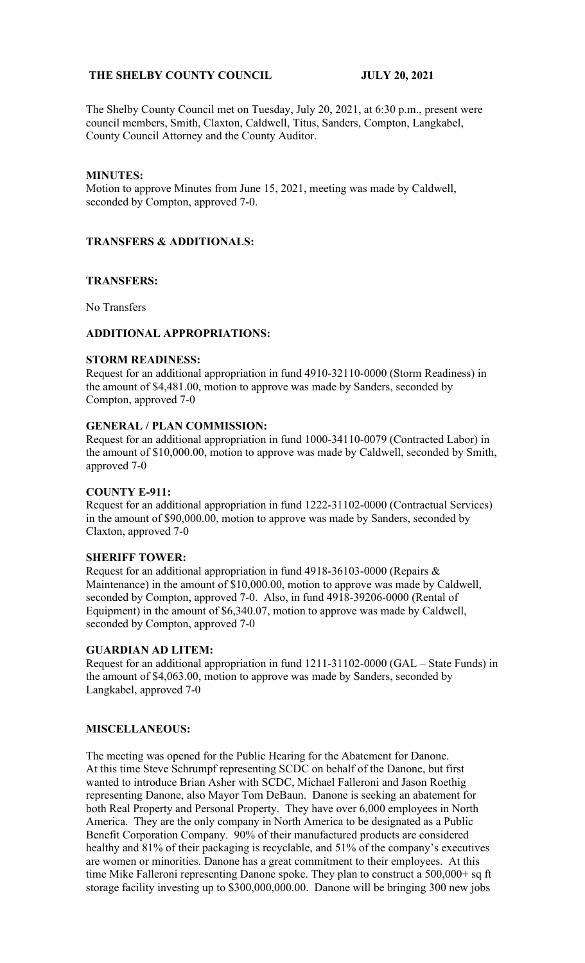# **THE SHELBY COUNTY COUNCIL JULY 20, 2021**

The Shelby County Council met on Tuesday, July 20, 2021, at 6:30 p.m., present were council members, Smith, Claxton, Caldwell, Titus, Sanders, Compton, Langkabel, County Council Attorney and the County Auditor.

### **MINUTES:**

Motion to approve Minutes from June 15, 2021, meeting was made by Caldwell, seconded by Compton, approved 7-0.

### **TRANSFERS & ADDITIONALS:**

# **TRANSFERS:**

No Transfers

### **ADDITIONAL APPROPRIATIONS:**

#### **STORM READINESS:**

Request for an additional appropriation in fund 4910-32110-0000 (Storm Readiness) in the amount of \$4,481.00, motion to approve was made by Sanders, seconded by Compton, approved 7-0

### **GENERAL / PLAN COMMISSION:**

Request for an additional appropriation in fund 1000-34110-0079 (Contracted Labor) in the amount of \$10,000.00, motion to approve was made by Caldwell, seconded by Smith, approved 7-0

# **COUNTY E-911:**

Request for an additional appropriation in fund 1222-31102-0000 (Contractual Services) in the amount of \$90,000.00, motion to approve was made by Sanders, seconded by Claxton, approved 7-0

#### **SHERIFF TOWER:**

Request for an additional appropriation in fund 4918-36103-0000 (Repairs & Maintenance) in the amount of \$10,000.00, motion to approve was made by Caldwell, seconded by Compton, approved 7-0. Also, in fund 4918-39206-0000 (Rental of Equipment) in the amount of \$6,340.07, motion to approve was made by Caldwell, seconded by Compton, approved 7-0

#### **GUARDIAN AD LITEM:**

Request for an additional appropriation in fund 1211-31102-0000 (GAL – State Funds) in the amount of \$4,063.00, motion to approve was made by Sanders, seconded by Langkabel, approved 7-0

# **MISCELLANEOUS:**

The meeting was opened for the Public Hearing for the Abatement for Danone. At this time Steve Schrumpf representing SCDC on behalf of the Danone, but first wanted to introduce Brian Asher with SCDC, Michael Falleroni and Jason Roethig representing Danone, also Mayor Tom DeBaun. Danone is seeking an abatement for both Real Property and Personal Property. They have over 6,000 employees in North America. They are the only company in North America to be designated as a Public Benefit Corporation Company. 90% of their manufactured products are considered healthy and 81% of their packaging is recyclable, and 51% of the company's executives are women or minorities. Danone has a great commitment to their employees. At this time Mike Falleroni representing Danone spoke. They plan to construct a 500,000+ sq ft storage facility investing up to \$300,000,000.00. Danone will be bringing 300 new jobs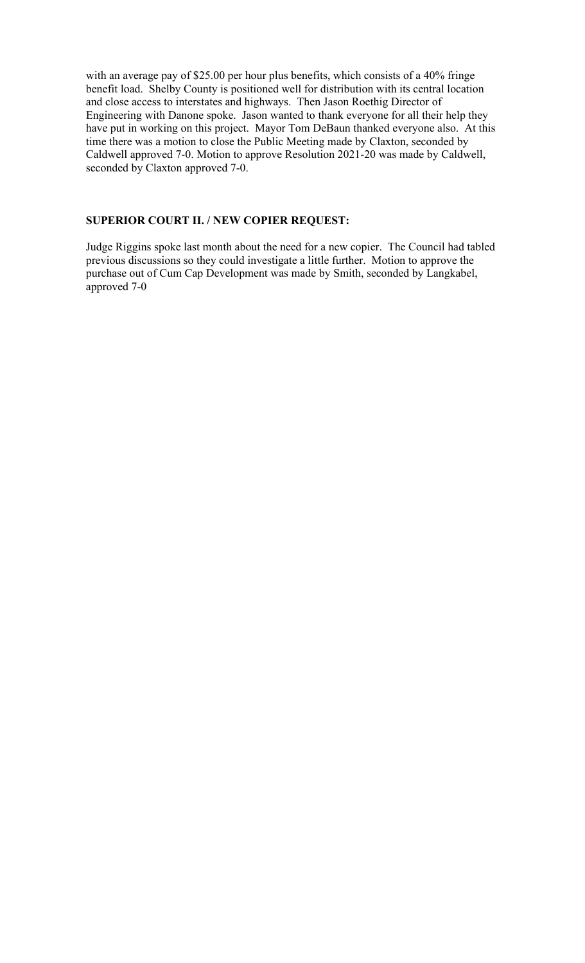with an average pay of \$25.00 per hour plus benefits, which consists of a 40% fringe benefit load. Shelby County is positioned well for distribution with its central location and close access to interstates and highways. Then Jason Roethig Director of Engineering with Danone spoke. Jason wanted to thank everyone for all their help they have put in working on this project. Mayor Tom DeBaun thanked everyone also. At this time there was a motion to close the Public Meeting made by Claxton, seconded by Caldwell approved 7-0. Motion to approve Resolution 2021-20 was made by Caldwell, seconded by Claxton approved 7-0.

# **SUPERIOR COURT II. / NEW COPIER REQUEST:**

Judge Riggins spoke last month about the need for a new copier. The Council had tabled previous discussions so they could investigate a little further. Motion to approve the purchase out of Cum Cap Development was made by Smith, seconded by Langkabel, approved 7-0